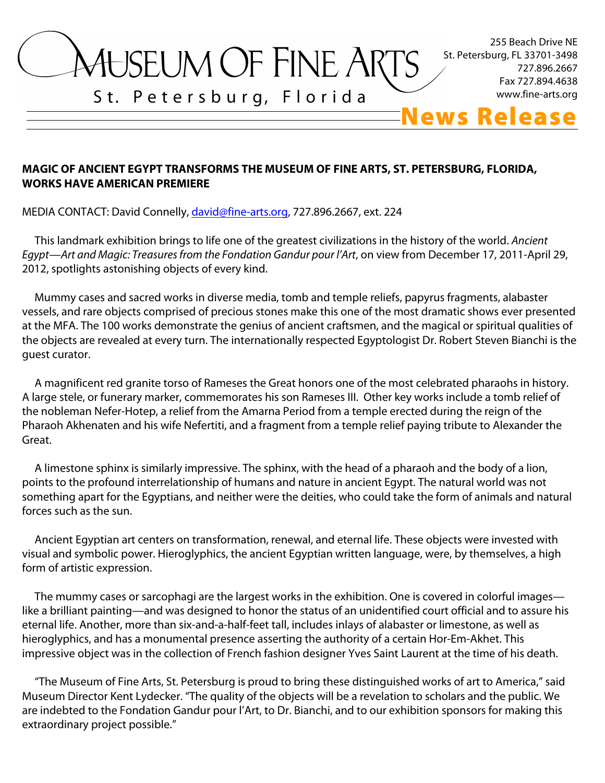

### **MAGIC OF ANCIENT EGYPT TRANSFORMS THE MUSEUM OF FINE ARTS, ST. PETERSBURG, FLORIDA, WORKS HAVE AMERICAN PREMIERE**

MEDIA CONTACT: David Connelly, david@fine-arts.org, 727.896.2667, ext. 224

 This landmark exhibition brings to life one of the greatest civilizations in the history of the world. *Ancient Egypt—Art and Magic: Treasures from the Fondation Gandur pour l'Art*, on view from December 17, 2011-April 29, 2012, spotlights astonishing objects of every kind.

 Mummy cases and sacred works in diverse media, tomb and temple reliefs, papyrus fragments, alabaster vessels, and rare objects comprised of precious stones make this one of the most dramatic shows ever presented at the MFA. The 100 works demonstrate the genius of ancient craftsmen, and the magical or spiritual qualities of the objects are revealed at every turn. The internationally respected Egyptologist Dr. Robert Steven Bianchi is the guest curator.

 A magnificent red granite torso of Rameses the Great honors one of the most celebrated pharaohs in history. A large stele, or funerary marker, commemorates his son Rameses III. Other key works include a tomb relief of the nobleman Nefer-Hotep, a relief from the Amarna Period from a temple erected during the reign of the Pharaoh Akhenaten and his wife Nefertiti, and a fragment from a temple relief paying tribute to Alexander the Great.

 A limestone sphinx is similarly impressive. The sphinx, with the head of a pharaoh and the body of a lion, points to the profound interrelationship of humans and nature in ancient Egypt. The natural world was not something apart for the Egyptians, and neither were the deities, who could take the form of animals and natural forces such as the sun.

 Ancient Egyptian art centers on transformation, renewal, and eternal life. These objects were invested with visual and symbolic power. Hieroglyphics, the ancient Egyptian written language, were, by themselves, a high form of artistic expression.

 The mummy cases or sarcophagi are the largest works in the exhibition. One is covered in colorful images like a brilliant painting—and was designed to honor the status of an unidentified court official and to assure his eternal life. Another, more than six-and-a-half-feet tall, includes inlays of alabaster or limestone, as well as hieroglyphics, and has a monumental presence asserting the authority of a certain Hor-Em-Akhet. This impressive object was in the collection of French fashion designer Yves Saint Laurent at the time of his death.

 "The Museum of Fine Arts, St. Petersburg is proud to bring these distinguished works of art to America," said Museum Director Kent Lydecker. "The quality of the objects will be a revelation to scholars and the public. We are indebted to the Fondation Gandur pour l'Art, to Dr. Bianchi, and to our exhibition sponsors for making this extraordinary project possible."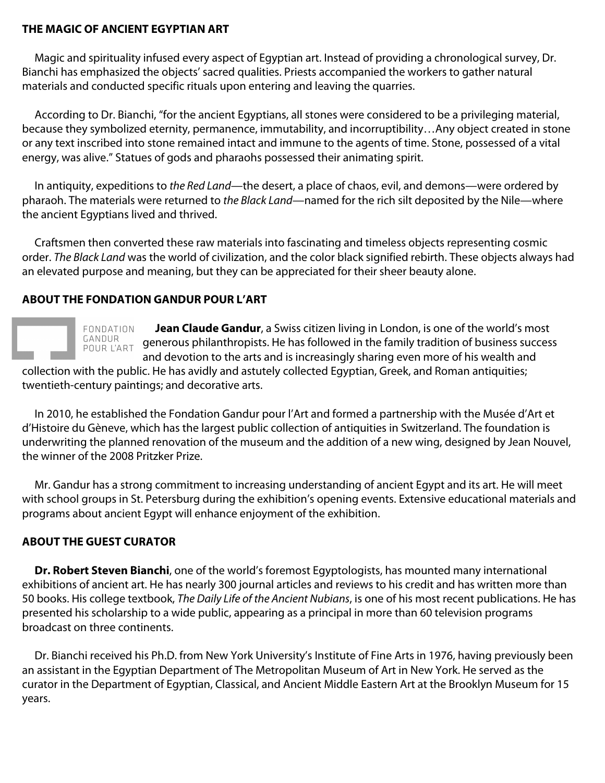### **THE MAGIC OF ANCIENT EGYPTIAN ART**

 Magic and spirituality infused every aspect of Egyptian art. Instead of providing a chronological survey, Dr. Bianchi has emphasized the objects' sacred qualities. Priests accompanied the workers to gather natural materials and conducted specific rituals upon entering and leaving the quarries.

 According to Dr. Bianchi, "for the ancient Egyptians, all stones were considered to be a privileging material, because they symbolized eternity, permanence, immutability, and incorruptibility…Any object created in stone or any text inscribed into stone remained intact and immune to the agents of time. Stone, possessed of a vital energy, was alive." Statues of gods and pharaohs possessed their animating spirit.

 In antiquity, expeditions to *the Red Land*—the desert, a place of chaos, evil, and demons—were ordered by pharaoh. The materials were returned to *the Black Land*—named for the rich silt deposited by the Nile—where the ancient Egyptians lived and thrived.

 Craftsmen then converted these raw materials into fascinating and timeless objects representing cosmic order. *The Black Land* was the world of civilization, and the color black signified rebirth. These objects always had an elevated purpose and meaning, but they can be appreciated for their sheer beauty alone.

### **ABOUT THE FONDATION GANDUR POUR L'ART**



 **Jean Claude Gandur**, a Swiss citizen living in London, is one of the world's most GANUUR generous philanthropists. He has followed in the family tradition of business success and devotion to the arts and is increasingly sharing even more of his wealth and

collection with the public. He has avidly and astutely collected Egyptian, Greek, and Roman antiquities; twentieth-century paintings; and decorative arts.

 In 2010, he established the Fondation Gandur pour l'Art and formed a partnership with the Musée d'Art et d'Histoire du Gèneve, which has the largest public collection of antiquities in Switzerland. The foundation is underwriting the planned renovation of the museum and the addition of a new wing, designed by Jean Nouvel, the winner of the 2008 Pritzker Prize.

 Mr. Gandur has a strong commitment to increasing understanding of ancient Egypt and its art. He will meet with school groups in St. Petersburg during the exhibition's opening events. Extensive educational materials and programs about ancient Egypt will enhance enjoyment of the exhibition.

# **ABOUT THE GUEST CURATOR**

 **Dr. Robert Steven Bianchi**, one of the world's foremost Egyptologists, has mounted many international exhibitions of ancient art. He has nearly 300 journal articles and reviews to his credit and has written more than 50 books. His college textbook, *The Daily Life of the Ancient Nubians*, is one of his most recent publications. He has presented his scholarship to a wide public, appearing as a principal in more than 60 television programs broadcast on three continents.

 Dr. Bianchi received his Ph.D. from New York University's Institute of Fine Arts in 1976, having previously been an assistant in the Egyptian Department of The Metropolitan Museum of Art in New York. He served as the curator in the Department of Egyptian, Classical, and Ancient Middle Eastern Art at the Brooklyn Museum for 15 years.